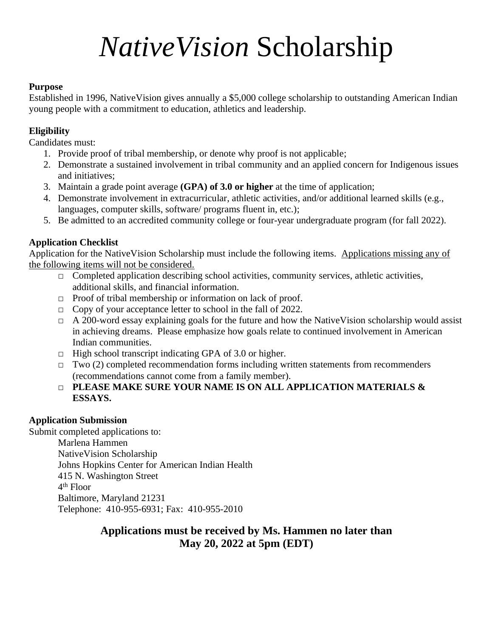# *NativeVision* Scholarship

#### **Purpose**

Established in 1996, NativeVision gives annually a \$5,000 college scholarship to outstanding American Indian young people with a commitment to education, athletics and leadership.

#### **Eligibility**

Candidates must:

- 1. Provide proof of tribal membership, or denote why proof is not applicable;
- 2. Demonstrate a sustained involvement in tribal community and an applied concern for Indigenous issues and initiatives;
- 3. Maintain a grade point average **(GPA) of 3.0 or higher** at the time of application;
- 4. Demonstrate involvement in extracurricular, athletic activities, and/or additional learned skills (e.g., languages, computer skills, software/ programs fluent in, etc.);
- 5. Be admitted to an accredited community college or four-year undergraduate program (for fall 2022).

#### **Application Checklist**

Application for the NativeVision Scholarship must include the following items. Applications missing any of the following items will not be considered.

- $\Box$  Completed application describing school activities, community services, athletic activities, additional skills, and financial information.
- $\Box$  Proof of tribal membership or information on lack of proof.
- □ Copy of your acceptance letter to school in the fall of 2022.
- $\Box$  A 200-word essay explaining goals for the future and how the NativeVision scholarship would assist in achieving dreams. Please emphasize how goals relate to continued involvement in American Indian communities.
- $\Box$  High school transcript indicating GPA of 3.0 or higher.
- $\Box$  Two (2) completed recommendation forms including written statements from recommenders (recommendations cannot come from a family member).
- □ **PLEASE MAKE SURE YOUR NAME IS ON ALL APPLICATION MATERIALS & ESSAYS.**

#### **Application Submission**

Submit completed applications to: Marlena Hammen NativeVision Scholarship Johns Hopkins Center for American Indian Health 415 N. Washington Street 4 th Floor Baltimore, Maryland 21231 Telephone: 410-955-6931; Fax: 410-955-2010

#### **Applications must be received by Ms. Hammen no later than May 20, 2022 at 5pm (EDT)**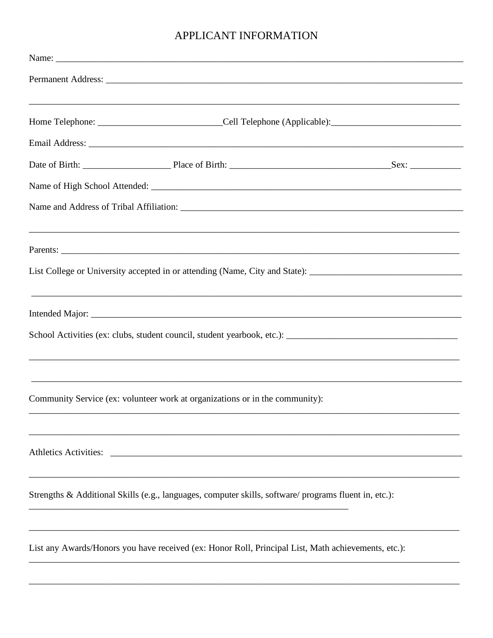### APPLICANT INFORMATION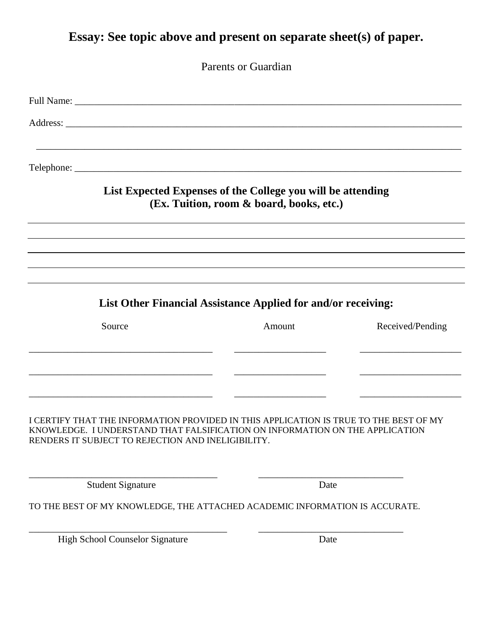# **Essay: See topic above and present on separate sheet(s) of paper.**

Parents or Guardian

|                                                                                                                                                                                                                             | List Expected Expenses of the College you will be attending<br>(Ex. Tuition, room & board, books, etc.) |                  |
|-----------------------------------------------------------------------------------------------------------------------------------------------------------------------------------------------------------------------------|---------------------------------------------------------------------------------------------------------|------------------|
|                                                                                                                                                                                                                             |                                                                                                         |                  |
|                                                                                                                                                                                                                             | List Other Financial Assistance Applied for and/or receiving:                                           |                  |
| Source                                                                                                                                                                                                                      | Amount                                                                                                  | Received/Pending |
|                                                                                                                                                                                                                             |                                                                                                         |                  |
| I CERTIFY THAT THE INFORMATION PROVIDED IN THIS APPLICATION IS TRUE TO THE BEST OF MY<br>KNOWLEDGE. I UNDERSTAND THAT FALSIFICATION ON INFORMATION ON THE APPLICATION<br>RENDERS IT SUBJECT TO REJECTION AND INELIGIBILITY. |                                                                                                         |                  |
| <b>Student Signature</b>                                                                                                                                                                                                    | Date                                                                                                    |                  |
| TO THE BEST OF MY KNOWLEDGE, THE ATTACHED ACADEMIC INFORMATION IS ACCURATE.                                                                                                                                                 |                                                                                                         |                  |
|                                                                                                                                                                                                                             |                                                                                                         |                  |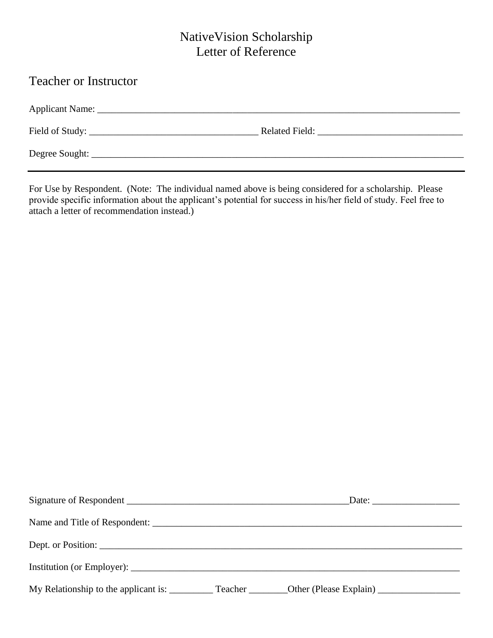## NativeVision Scholarship Letter of Reference

# Teacher or Instructor Applicant Name: \_\_\_\_\_\_\_\_\_\_\_\_\_\_\_\_\_\_\_\_\_\_\_\_\_\_\_\_\_\_\_\_\_\_\_\_\_\_\_\_\_\_\_\_\_\_\_\_\_\_\_\_\_\_\_\_\_\_\_\_\_\_\_\_\_\_\_\_\_\_\_\_\_\_\_ Field of Study: \_\_\_\_\_\_\_\_\_\_\_\_\_\_\_\_\_\_\_\_\_\_\_\_\_\_\_\_\_\_\_\_\_\_\_ Related Field: \_\_\_\_\_\_\_\_\_\_\_\_\_\_\_\_\_\_\_\_\_\_\_\_\_\_\_\_\_\_ Degree Sought: \_\_\_\_\_\_\_\_\_\_\_\_\_\_\_\_\_\_\_\_\_\_\_\_\_\_\_\_\_\_\_\_\_\_\_\_\_\_\_\_\_\_\_\_\_\_\_\_\_\_\_\_\_\_\_\_\_\_\_\_\_\_\_\_\_\_\_\_\_\_\_\_\_\_\_\_\_

For Use by Respondent. (Note: The individual named above is being considered for a scholarship. Please provide specific information about the applicant's potential for success in his/her field of study. Feel free to attach a letter of recommendation instead.)

| Name and Title of Respondent:                                                                              |  |
|------------------------------------------------------------------------------------------------------------|--|
|                                                                                                            |  |
|                                                                                                            |  |
| My Relationship to the applicant is: ___________ Teacher _________ Other (Please Explain) ________________ |  |